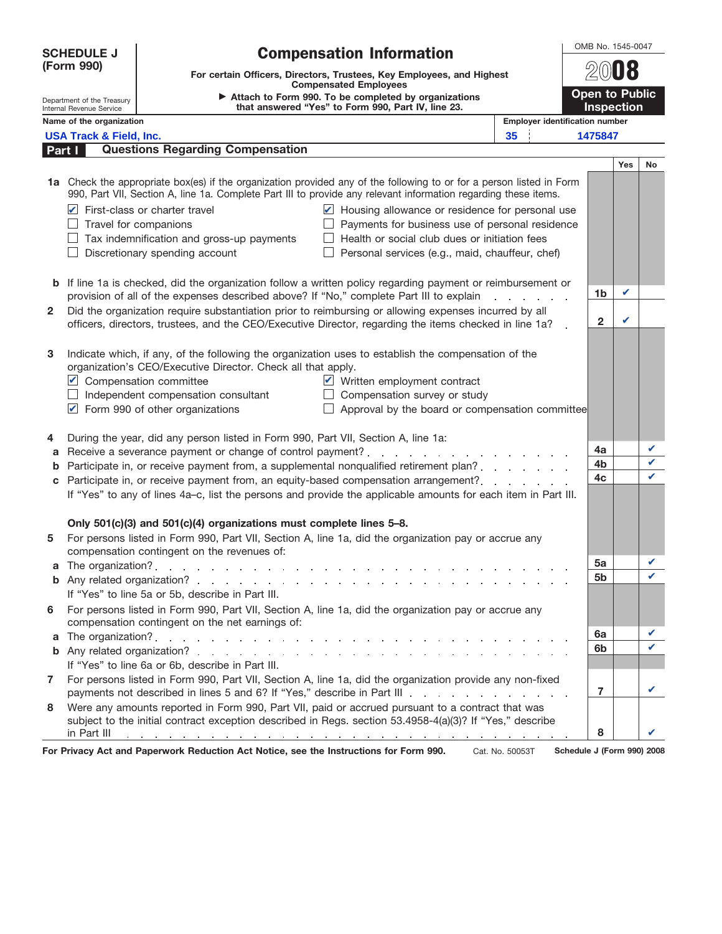| <b>SCHEDULE J</b>                                    |                                                                                                                                                                                                                                         | <b>Compensation Information</b>                                                                                                                         |  |                                       |  |                | OMB No. 1545-0047 |    |  |  |
|------------------------------------------------------|-----------------------------------------------------------------------------------------------------------------------------------------------------------------------------------------------------------------------------------------|---------------------------------------------------------------------------------------------------------------------------------------------------------|--|---------------------------------------|--|----------------|-------------------|----|--|--|
| (Form 990)                                           |                                                                                                                                                                                                                                         | For certain Officers, Directors, Trustees, Key Employees, and Highest<br><b>Compensated Employees</b>                                                   |  |                                       |  |                |                   |    |  |  |
| Department of the Treasury                           |                                                                                                                                                                                                                                         | Open to Public<br>Attach to Form 990. To be completed by organizations<br>that answered "Yes" to Form 990, Part IV, line 23.                            |  |                                       |  |                |                   |    |  |  |
| Internal Revenue Service<br>Name of the organization |                                                                                                                                                                                                                                         |                                                                                                                                                         |  | <b>Employer identification number</b> |  |                | <b>Inspection</b> |    |  |  |
| 35<br><b>USA Track &amp; Field, Inc.</b>             |                                                                                                                                                                                                                                         |                                                                                                                                                         |  |                                       |  | 1475847        |                   |    |  |  |
| Part I                                               |                                                                                                                                                                                                                                         | <b>Questions Regarding Compensation</b>                                                                                                                 |  |                                       |  |                |                   |    |  |  |
|                                                      |                                                                                                                                                                                                                                         |                                                                                                                                                         |  |                                       |  |                | <b>Yes</b>        | No |  |  |
|                                                      | 1a Check the appropriate box(es) if the organization provided any of the following to or for a person listed in Form<br>990, Part VII, Section A, line 1a. Complete Part III to provide any relevant information regarding these items. |                                                                                                                                                         |  |                                       |  |                |                   |    |  |  |
|                                                      | Housing allowance or residence for personal use<br>$\triangleright$ First-class or charter travel                                                                                                                                       |                                                                                                                                                         |  |                                       |  |                |                   |    |  |  |
|                                                      | Payments for business use of personal residence<br>$\Box$ Travel for companions                                                                                                                                                         |                                                                                                                                                         |  |                                       |  |                |                   |    |  |  |
|                                                      | Health or social club dues or initiation fees<br>$\Box$ Tax indemnification and gross-up payments                                                                                                                                       |                                                                                                                                                         |  |                                       |  |                |                   |    |  |  |
|                                                      | $\Box$ Discretionary spending account<br>$\Box$<br>Personal services (e.g., maid, chauffeur, chef)                                                                                                                                      |                                                                                                                                                         |  |                                       |  |                |                   |    |  |  |
|                                                      |                                                                                                                                                                                                                                         |                                                                                                                                                         |  |                                       |  |                |                   |    |  |  |
|                                                      | <b>b</b> If line 1a is checked, did the organization follow a written policy regarding payment or reimbursement or                                                                                                                      |                                                                                                                                                         |  |                                       |  | 1b             | ✓                 |    |  |  |
|                                                      |                                                                                                                                                                                                                                         | provision of all of the expenses described above? If "No," complete Part III to explain                                                                 |  |                                       |  |                |                   |    |  |  |
| $\mathbf{2}$                                         | Did the organization require substantiation prior to reimbursing or allowing expenses incurred by all<br>officers, directors, trustees, and the CEO/Executive Director, regarding the items checked in line 1a?                         |                                                                                                                                                         |  |                                       |  | $\mathbf{2}$   | ✓                 |    |  |  |
|                                                      |                                                                                                                                                                                                                                         |                                                                                                                                                         |  |                                       |  |                |                   |    |  |  |
| 3                                                    |                                                                                                                                                                                                                                         | Indicate which, if any, of the following the organization uses to establish the compensation of the                                                     |  |                                       |  |                |                   |    |  |  |
|                                                      | organization's CEO/Executive Director. Check all that apply.                                                                                                                                                                            |                                                                                                                                                         |  |                                       |  |                |                   |    |  |  |
|                                                      |                                                                                                                                                                                                                                         | Written employment contract<br>Compensation committee                                                                                                   |  |                                       |  |                |                   |    |  |  |
|                                                      |                                                                                                                                                                                                                                         | Compensation survey or study<br>$\Box$ Independent compensation consultant<br>$\perp$                                                                   |  |                                       |  |                |                   |    |  |  |
|                                                      |                                                                                                                                                                                                                                         | Form 990 of other organizations<br>Approval by the board or compensation committee<br>$\perp$                                                           |  |                                       |  |                |                   |    |  |  |
|                                                      |                                                                                                                                                                                                                                         |                                                                                                                                                         |  |                                       |  |                |                   |    |  |  |
| 4                                                    |                                                                                                                                                                                                                                         | During the year, did any person listed in Form 990, Part VII, Section A, line 1a:                                                                       |  |                                       |  | 4a             |                   | V  |  |  |
| a                                                    |                                                                                                                                                                                                                                         |                                                                                                                                                         |  |                                       |  | 4 <sub>b</sub> |                   | ✓  |  |  |
| b                                                    | Participate in, or receive payment from, a supplemental nonqualified retirement plan?                                                                                                                                                   |                                                                                                                                                         |  |                                       |  | 4c             |                   | ✓  |  |  |
| c                                                    | Participate in, or receive payment from, an equity-based compensation arrangement?<br>If "Yes" to any of lines 4a-c, list the persons and provide the applicable amounts for each item in Part III.                                     |                                                                                                                                                         |  |                                       |  |                |                   |    |  |  |
|                                                      |                                                                                                                                                                                                                                         |                                                                                                                                                         |  |                                       |  |                |                   |    |  |  |
|                                                      |                                                                                                                                                                                                                                         | Only 501(c)(3) and 501(c)(4) organizations must complete lines 5-8.                                                                                     |  |                                       |  |                |                   |    |  |  |
| 5                                                    | For persons listed in Form 990, Part VII, Section A, line 1a, did the organization pay or accrue any                                                                                                                                    |                                                                                                                                                         |  |                                       |  |                |                   |    |  |  |
|                                                      |                                                                                                                                                                                                                                         | compensation contingent on the revenues of:                                                                                                             |  |                                       |  |                |                   |    |  |  |
| a                                                    | The organization?. $\ldots$ $\ldots$ $\ldots$ $\ldots$ $\ldots$ $\ldots$ $\ldots$ $\ldots$                                                                                                                                              |                                                                                                                                                         |  |                                       |  | 5a             |                   | V  |  |  |
|                                                      |                                                                                                                                                                                                                                         |                                                                                                                                                         |  |                                       |  | 5b             |                   | V  |  |  |
|                                                      |                                                                                                                                                                                                                                         | If "Yes" to line 5a or 5b, describe in Part III.                                                                                                        |  |                                       |  |                |                   |    |  |  |
| 6                                                    |                                                                                                                                                                                                                                         | For persons listed in Form 990, Part VII, Section A, line 1a, did the organization pay or accrue any<br>compensation contingent on the net earnings of: |  |                                       |  |                |                   |    |  |  |
| a                                                    |                                                                                                                                                                                                                                         |                                                                                                                                                         |  |                                       |  | 6a             |                   | ✓  |  |  |
| b                                                    |                                                                                                                                                                                                                                         |                                                                                                                                                         |  |                                       |  | 6 <sub>b</sub> |                   |    |  |  |
|                                                      |                                                                                                                                                                                                                                         | If "Yes" to line 6a or 6b, describe in Part III.                                                                                                        |  |                                       |  |                |                   |    |  |  |
| 7                                                    |                                                                                                                                                                                                                                         | For persons listed in Form 990, Part VII, Section A, line 1a, did the organization provide any non-fixed                                                |  |                                       |  | $\overline{7}$ |                   |    |  |  |
| 8                                                    |                                                                                                                                                                                                                                         | Were any amounts reported in Form 990, Part VII, paid or accrued pursuant to a contract that was                                                        |  |                                       |  |                |                   |    |  |  |
|                                                      |                                                                                                                                                                                                                                         | subject to the initial contract exception described in Regs. section 53.4958-4(a)(3)? If "Yes," describe                                                |  |                                       |  | 8              |                   |    |  |  |
|                                                      | in Part III                                                                                                                                                                                                                             | the contract of the contract of the contract of the contract of the contract of the contract of the contract of                                         |  |                                       |  |                |                   |    |  |  |

For Privacy Act and Paperwork Reduction Act Notice, see the Instructions for Form 990. **Schedule J (Form 990) 2008**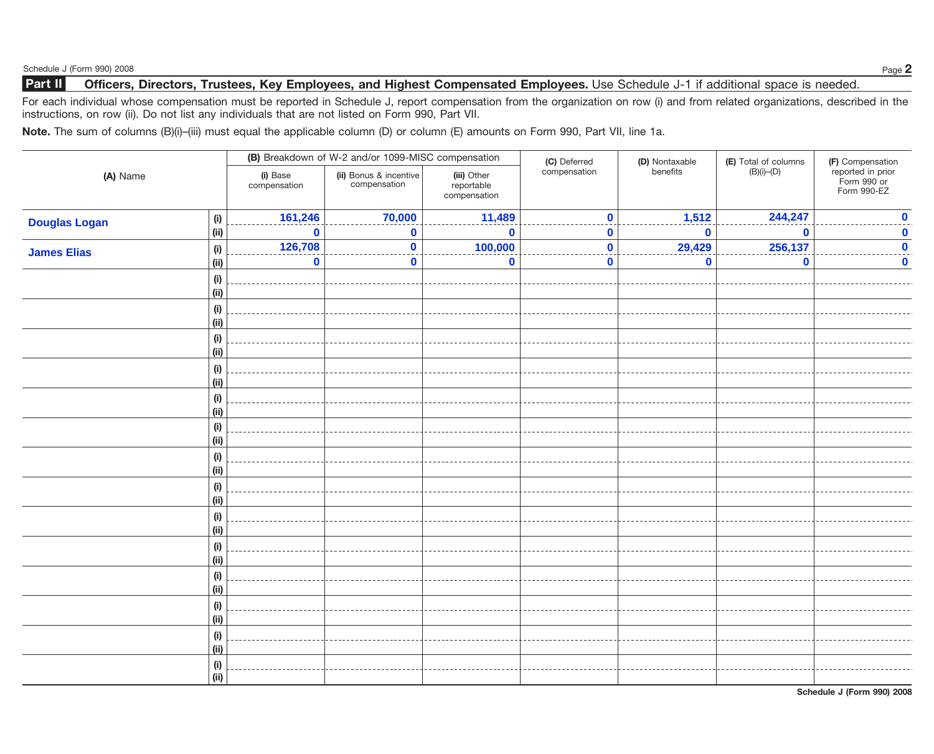## **Part II** Officers, Directors, Trustees, Key Employees, and Highest Compensated Employees. Use Schedule J-1 if additional space is needed.

For each individual whose compensation must be reported in Schedule J, report compensation from the organization on row (i) and from related organizations, described in the instructions, on row (ii). Do not list any individuals that are not listed on Form 990, Part VII.

**Note.** The sum of columns (B)(i)–(iii) must equal the applicable column (D) or column (E) amounts on Form 990, Part VII, line 1a.

| (A) Name             |                              |                          | (B) Breakdown of W-2 and/or 1099-MISC compensation |                                           | (C) Deferred | (D) Nontaxable | (E) Total of columns $(B)(i)$ – $(D)$ | (F) Compensation                                |
|----------------------|------------------------------|--------------------------|----------------------------------------------------|-------------------------------------------|--------------|----------------|---------------------------------------|-------------------------------------------------|
|                      |                              | (i) Base<br>compensation | (ii) Bonus & incentive<br>compensation             | (iii) Other<br>reportable<br>compensation | compensation | benefits       |                                       | reported in prior<br>Form 990 or<br>Form 990-EZ |
| <b>Douglas Logan</b> | (i)                          | 161,246                  | 70,000                                             | 11,489                                    | $\mathbf 0$  | 1,512          | 244,247                               | $\overline{\mathbf{0}}$                         |
|                      | (i)                          | $\bf{0}$                 | $\bf{0}$                                           | $\mathbf 0$                               | $\bf{0}$     | $\bf{0}$       | $\bf{0}$                              | $\boldsymbol{0}$                                |
| <b>James Elias</b>   | (i)                          | 126,708                  | $\mathbf{0}$                                       | 100,000                                   | $\mathbf 0$  | 29,429         | 256,137                               | $\overline{\mathbf{0}}$                         |
|                      | (i)                          | $\mathbf 0$              | $\bf{0}$                                           | $\mathbf 0$                               | $\bf{0}$     | $\bf{0}$       | $\bf{0}$                              | $\mathbf 0$                                     |
|                      | $\qquad \qquad \textbf{(i)}$ |                          |                                                    |                                           |              |                |                                       |                                                 |
|                      | (ii)                         |                          |                                                    |                                           |              |                |                                       |                                                 |
|                      | (i)                          |                          |                                                    |                                           |              |                |                                       |                                                 |
|                      | (ii)                         |                          |                                                    |                                           |              |                |                                       |                                                 |
|                      | (i)<br>(ii)                  |                          |                                                    |                                           |              |                |                                       |                                                 |
|                      |                              |                          |                                                    |                                           |              |                |                                       |                                                 |
|                      | (i)<br>(ii)                  |                          |                                                    |                                           |              |                |                                       |                                                 |
|                      | (i)                          |                          |                                                    |                                           |              |                |                                       |                                                 |
|                      | (ii)                         |                          |                                                    |                                           |              |                |                                       |                                                 |
|                      | $(\sf{i})$                   |                          |                                                    |                                           |              |                |                                       |                                                 |
|                      | (ii)                         |                          |                                                    |                                           |              |                |                                       |                                                 |
|                      | (i)                          |                          |                                                    |                                           |              |                |                                       |                                                 |
|                      | (ii)                         |                          |                                                    |                                           |              |                |                                       |                                                 |
|                      | (i)                          |                          |                                                    |                                           |              |                |                                       |                                                 |
|                      | (ii)                         |                          |                                                    |                                           |              |                |                                       |                                                 |
|                      | $\qquad \qquad \textbf{(i)}$ |                          |                                                    |                                           |              |                |                                       |                                                 |
|                      | (ii)                         |                          |                                                    |                                           |              |                |                                       |                                                 |
|                      | (i)                          |                          |                                                    |                                           |              |                |                                       |                                                 |
|                      | (ii)                         |                          |                                                    |                                           |              |                |                                       |                                                 |
|                      | (i)<br>(ii)                  |                          |                                                    |                                           |              |                |                                       |                                                 |
|                      | (i)                          |                          |                                                    |                                           |              |                |                                       |                                                 |
|                      | (ii)                         |                          |                                                    |                                           |              |                |                                       |                                                 |
|                      | (i)                          |                          |                                                    |                                           |              |                |                                       |                                                 |
|                      | (ii)                         |                          |                                                    |                                           |              |                |                                       |                                                 |
|                      | (i)                          |                          |                                                    |                                           |              |                |                                       |                                                 |
|                      | (ii)                         |                          |                                                    |                                           |              |                |                                       |                                                 |

**Schedule J (Form 990) 2008**